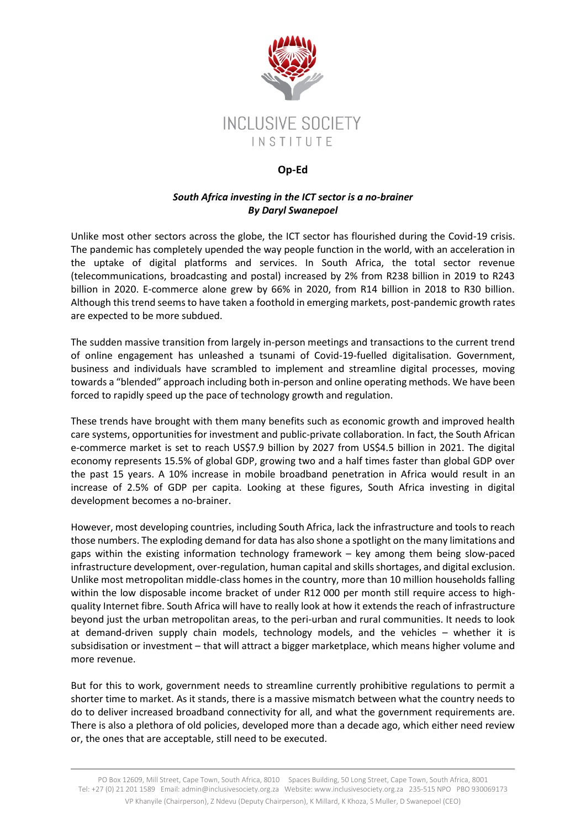

## **Op-Ed**

## *South Africa investing in the ICT sector is a no-brainer By Daryl Swanepoel*

Unlike most other sectors across the globe, the ICT sector has flourished during the Covid-19 crisis. The pandemic has completely upended the way people function in the world, with an acceleration in the uptake of digital platforms and services. In South Africa, the total sector revenue (telecommunications, broadcasting and postal) increased by 2% from R238 billion in 2019 to R243 billion in 2020. E-commerce alone grew by 66% in 2020, from R14 billion in 2018 to R30 billion. Although this trend seems to have taken a foothold in emerging markets, post-pandemic growth rates are expected to be more subdued.

The sudden massive transition from largely in-person meetings and transactions to the current trend of online engagement has unleashed a tsunami of Covid-19-fuelled digitalisation. Government, business and individuals have scrambled to implement and streamline digital processes, moving towards a "blended" approach including both in-person and online operating methods. We have been forced to rapidly speed up the pace of technology growth and regulation.

These trends have brought with them many benefits such as economic growth and improved health care systems, opportunities for investment and public-private collaboration. In fact, the South African e-commerce market is set to reach US\$7.9 billion by 2027 from US\$4.5 billion in 2021. The digital economy represents 15.5% of global GDP, growing two and a half times faster than global GDP over the past 15 years. A 10% increase in mobile broadband penetration in Africa would result in an increase of 2.5% of GDP per capita. Looking at these figures, South Africa investing in digital development becomes a no-brainer.

However, most developing countries, including South Africa, lack the infrastructure and tools to reach those numbers. The exploding demand for data has also shone a spotlight on the many limitations and gaps within the existing information technology framework – key among them being slow-paced infrastructure development, over-regulation, human capital and skills shortages, and digital exclusion. Unlike most metropolitan middle-class homes in the country, more than 10 million households falling within the low disposable income bracket of under R12 000 per month still require access to highquality Internet fibre. South Africa will have to really look at how it extends the reach of infrastructure beyond just the urban metropolitan areas, to the peri-urban and rural communities. It needs to look at demand-driven supply chain models, technology models, and the vehicles – whether it is subsidisation or investment – that will attract a bigger marketplace, which means higher volume and more revenue.

But for this to work, government needs to streamline currently prohibitive regulations to permit a shorter time to market. As it stands, there is a massive mismatch between what the country needs to do to deliver increased broadband connectivity for all, and what the government requirements are. There is also a plethora of old policies, developed more than a decade ago, which either need review or, the ones that are acceptable, still need to be executed.